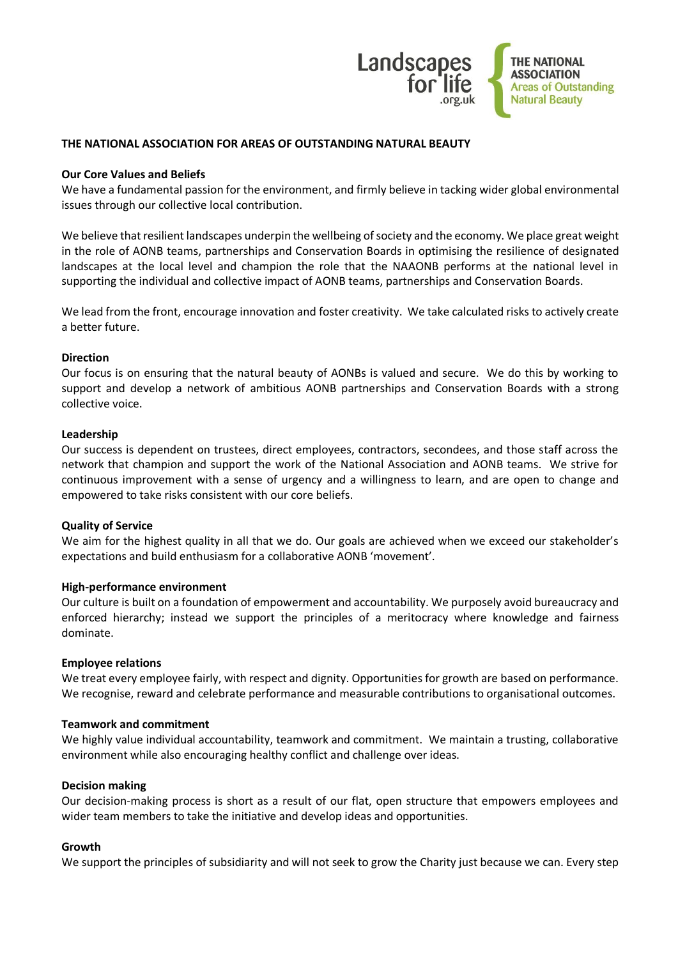

## **THE NATIONAL ASSOCIATION FOR AREAS OF OUTSTANDING NATURAL BEAUTY**

## **Our Core Values and Beliefs**

We have a fundamental passion for the environment, and firmly believe in tacking wider global environmental issues through our collective local contribution.

We believe that resilient landscapes underpin the wellbeing of society and the economy. We place great weight in the role of AONB teams, partnerships and Conservation Boards in optimising the resilience of designated landscapes at the local level and champion the role that the NAAONB performs at the national level in supporting the individual and collective impact of AONB teams, partnerships and Conservation Boards.

We lead from the front, encourage innovation and foster creativity. We take calculated risks to actively create a better future.

### **Direction**

Our focus is on ensuring that the natural beauty of AONBs is valued and secure. We do this by working to support and develop a network of ambitious AONB partnerships and Conservation Boards with a strong collective voice.

#### **Leadership**

Our success is dependent on trustees, direct employees, contractors, secondees, and those staff across the network that champion and support the work of the National Association and AONB teams. We strive for continuous improvement with a sense of urgency and a willingness to learn, and are open to change and empowered to take risks consistent with our core beliefs.

#### **Quality of Service**

We aim for the highest quality in all that we do. Our goals are achieved when we exceed our stakeholder's expectations and build enthusiasm for a collaborative AONB 'movement'.

#### **High-performance environment**

Our culture is built on a foundation of empowerment and accountability. We purposely avoid bureaucracy and enforced hierarchy; instead we support the principles of a meritocracy where knowledge and fairness dominate.

#### **Employee relations**

We treat every employee fairly, with respect and dignity. Opportunities for growth are based on performance. We recognise, reward and celebrate performance and measurable contributions to organisational outcomes.

#### **Teamwork and commitment**

We highly value individual accountability, teamwork and commitment. We maintain a trusting, collaborative environment while also encouraging healthy conflict and challenge over ideas.

#### **Decision making**

Our decision-making process is short as a result of our flat, open structure that empowers employees and wider team members to take the initiative and develop ideas and opportunities.

## **Growth**

We support the principles of subsidiarity and will not seek to grow the Charity just because we can. Every step